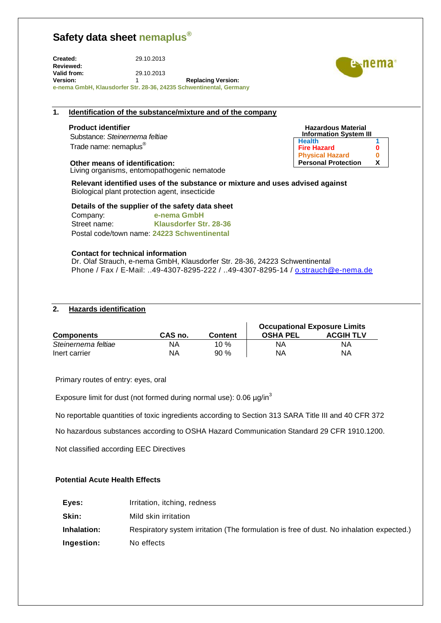**Created:** 29.10.2013 **Reviewed: Valid from:** 29.10.2013 **Version:** 1 **Replacing Version: e-nema GmbH, Klausdorfer Str. 28-36, 24235 Schwentinental, Germany**

### **1. Identification of the substance/mixture and of the company**

Substance: *Steinernema feltiae* Trade name: nemaplus®

#### **Other means of identification:**

Living organisms, entomopathogenic nematode

**Relevant identified uses of the substance or mixture and uses advised against**  Biological plant protection agent, insecticide

**Details of the supplier of the safety data sheet**

Company: **e-nema GmbH** Street name: **Klausdorfer Str. 28-36** Postal code/town name: **24223 Schwentinental**

#### **Contact for technical information**

Dr. Olaf Strauch, e-nema GmbH, Klausdorfer Str. 28-36, 24223 Schwentinental Phone / Fax / E-Mail: ..49-4307-8295-222 / ..49-4307-8295-14 / [o.strauch@e-nema.de](mailto:o.strauch@e-nema.de)

### **2. Hazards identification**

|                     |         |                | <b>Occupational Exposure Limits</b> |                  |
|---------------------|---------|----------------|-------------------------------------|------------------|
| <b>Components</b>   | CAS no. | <b>Content</b> | <b>OSHA PEL</b>                     | <b>ACGIH TLV</b> |
| Steinernema feltiae | NA      | 10 %           | ΝA                                  | ΝA               |
| Inert carrier       | ΝA      | $90\%$         | ΝA                                  | ΝA               |

Primary routes of entry: eyes, oral

Exposure limit for dust (not formed during normal use): 0.06 µg/in<sup>3</sup>

No reportable quantities of toxic ingredients according to Section 313 SARA Title III and 40 CFR 372

No hazardous substances according to OSHA Hazard Communication Standard 29 CFR 1910.1200.

Not classified according EEC Directives

#### **Potential Acute Health Effects**

- **Eyes:** Irritation, itching, redness
- **Skin:** Mild skin irritation
- **Inhalation: Ingestion:** Respiratory system irritation (The formulation is free of dust. No inhalation expected.) No effects



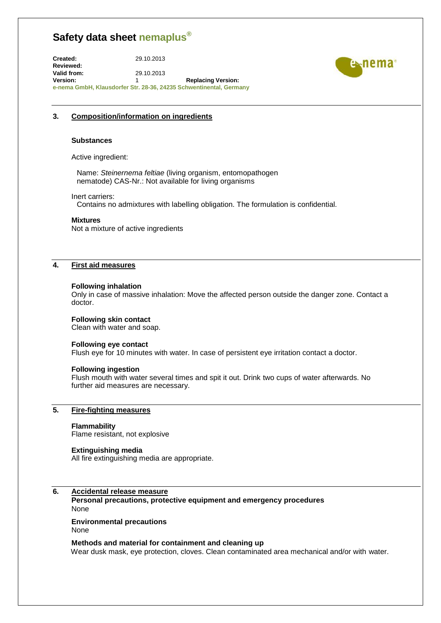**Created:** 29.10.2013 **Reviewed: Valid from:** 29.10.2013 **Version:** 1 **Replacing Version: e-nema GmbH, Klausdorfer Str. 28-36, 24235 Schwentinental, Germany**



#### **3. Composition/information on ingredients**

#### **Substances**

Active ingredient:

Name: *Steinernema feltiae* (living organism, entomopathogen nematode) CAS-Nr.: Not available for living organisms

#### Inert carriers:

Contains no admixtures with labelling obligation. The formulation is confidential.

#### **Mixtures**

Not a mixture of active ingredients

## **4. First aid measures**

#### **Following inhalation**

Only in case of massive inhalation: Move the affected person outside the danger zone. Contact a doctor.

#### **Following skin contact**

Clean with water and soap.

#### **Following eye contact**

Flush eye for 10 minutes with water. In case of persistent eye irritation contact a doctor.

#### **Following ingestion**

Flush mouth with water several times and spit it out. Drink two cups of water afterwards. No further aid measures are necessary.

# **5. Fire-fighting measures**

#### **Flammability**

Flame resistant, not explosive

#### **Extinguishing media**

All fire extinguishing media are appropriate.

### **6. Accidental release measure**

**Personal precautions, protective equipment and emergency procedures**  None

#### **Environmental precautions**  None

**Methods and material for containment and cleaning up** Wear dusk mask, eye protection, cloves. Clean contaminated area mechanical and/or with water.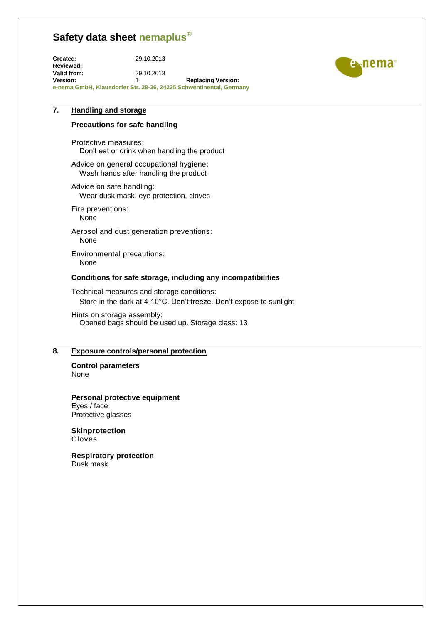**Created:** 29.10.2013 **Reviewed: Valid from:** 29.10.2013 **Version:** 1 **Replacing Version: e-nema GmbH, Klausdorfer Str. 28-36, 24235 Schwentinental, Germany**



# **7. Handling and storage**

#### **Precautions for safe handling**

Protective measures: Don't eat or drink when handling the product

Advice on general occupational hygiene: Wash hands after handling the product

Advice on safe handling: Wear dusk mask, eye protection, cloves

Fire preventions: None

Aerosol and dust generation preventions: None

Environmental precautions: None

#### **Conditions for safe storage, including any incompatibilities**

Technical measures and storage conditions: Store in the dark at 4-10°C. Don't freeze. Don't expose to sunlight

Hints on storage assembly: Opened bags should be used up. Storage class: 13

#### **8. Exposure controls/personal protection**

**Control parameters** None

**Personal protective equipment** Eyes / face Protective glasses

**Skinprotection** Cloves

**Respiratory protection** Dusk mask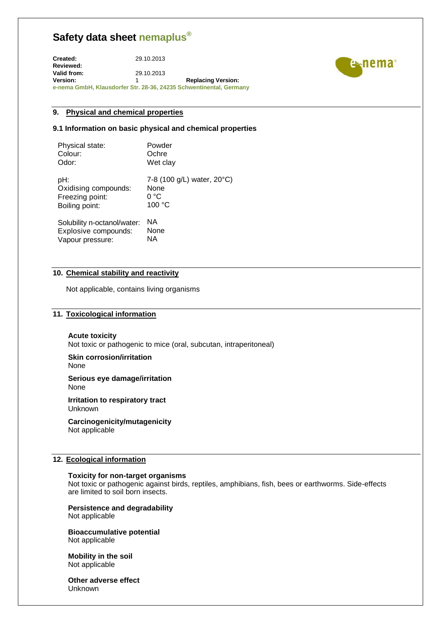**Created:** 29.10.2013 **Reviewed: Valid from:** 29.10.2013 **Version:** 1 **Replacing Version: e-nema GmbH, Klausdorfer Str. 28-36, 24235 Schwentinental, Germany**



#### **9. Physical and chemical properties**

#### **9.1 Information on basic physical and chemical properties**

| Physical state:             | Powder                     |
|-----------------------------|----------------------------|
| Colour:                     | Ochre                      |
| Odor:                       | Wet clay                   |
| pH:                         | 7-8 (100 g/L) water, 20°C) |
| Oxidising compounds:        | None                       |
| Freezing point:             | 0 °C                       |
| Boiling point:              | 100 °C                     |
| Solubility n-octanol/water: | ΝA                         |
| Explosive compounds:        | None                       |

NA

**10. Chemical stability and reactivity** 

Not applicable, contains living organisms

#### **11. Toxicological information**

#### **Acute toxicity**

Vapour pressure:

Not toxic or pathogenic to mice (oral, subcutan, intraperitoneal)

# **Skin corrosion/irritation**

None

#### **Serious eye damage/irritation** None

**Irritation to respiratory tract** Unknown

**Carcinogenicity/mutagenicity** Not applicable

#### **12. Ecological information**

#### **Toxicity for non-target organisms**

Not toxic or pathogenic against birds, reptiles, amphibians, fish, bees or earthworms. Side-effects are limited to soil born insects.

#### **Persistence and degradability**

Not applicable

**Bioaccumulative potential** Not applicable

**Mobility in the soil**  Not applicable

**Other adverse effect**  Unknown